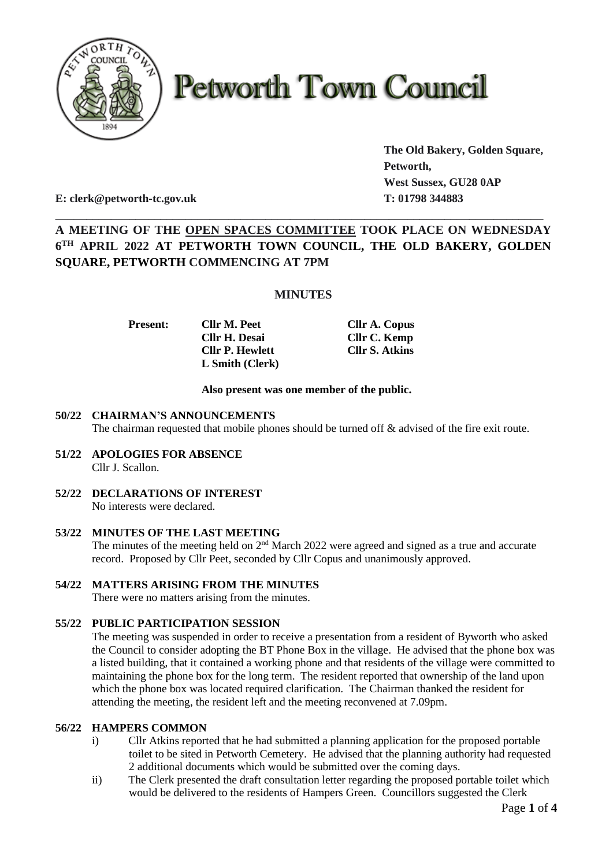

# **Petworth Town Council**

**The Old Bakery, Golden Square, Petworth, West Sussex, GU28 0AP**

**E: clerk@petworth-tc.gov.uk T: 01798 344883**

# **A MEETING OF THE OPEN SPACES COMMITTEE TOOK PLACE ON WEDNESDAY 6 TH APRIL 2022 AT PETWORTH TOWN COUNCIL, THE OLD BAKERY, GOLDEN SQUARE, PETWORTH COMMENCING AT 7PM**

\_\_\_\_\_\_\_\_\_\_\_\_\_\_\_\_\_\_\_\_\_\_\_\_\_\_\_\_\_\_\_\_\_\_\_\_\_\_\_\_\_\_\_\_\_\_\_\_\_\_\_\_\_\_\_\_\_\_\_\_\_\_\_\_\_\_\_\_\_\_\_\_\_\_\_\_\_\_\_

# **MINUTES**

**Cllr H. Desai Cllr C. Kemp Cllr P. Hewlett Cllr S. Atkins L Smith (Clerk)**

**Present: Cllr M. Peet Cllr A. Copus**

# **Also present was one member of the public.**

# **50/22 CHAIRMAN'S ANNOUNCEMENTS**

The chairman requested that mobile phones should be turned off & advised of the fire exit route.

- **51/22 APOLOGIES FOR ABSENCE** Cllr J. Scallon.
- **52/22 DECLARATIONS OF INTEREST** No interests were declared.
- **53/22 MINUTES OF THE LAST MEETING** The minutes of the meeting held on 2<sup>nd</sup> March 2022 were agreed and signed as a true and accurate record. Proposed by Cllr Peet, seconded by Cllr Copus and unanimously approved.
- **54/22 MATTERS ARISING FROM THE MINUTES** There were no matters arising from the minutes.

# **55/22 PUBLIC PARTICIPATION SESSION**

The meeting was suspended in order to receive a presentation from a resident of Byworth who asked the Council to consider adopting the BT Phone Box in the village. He advised that the phone box was a listed building, that it contained a working phone and that residents of the village were committed to maintaining the phone box for the long term. The resident reported that ownership of the land upon which the phone box was located required clarification. The Chairman thanked the resident for attending the meeting, the resident left and the meeting reconvened at 7.09pm.

# **56/22 HAMPERS COMMON**

- i) Cllr Atkins reported that he had submitted a planning application for the proposed portable toilet to be sited in Petworth Cemetery. He advised that the planning authority had requested 2 additional documents which would be submitted over the coming days.
- ii) The Clerk presented the draft consultation letter regarding the proposed portable toilet which would be delivered to the residents of Hampers Green. Councillors suggested the Clerk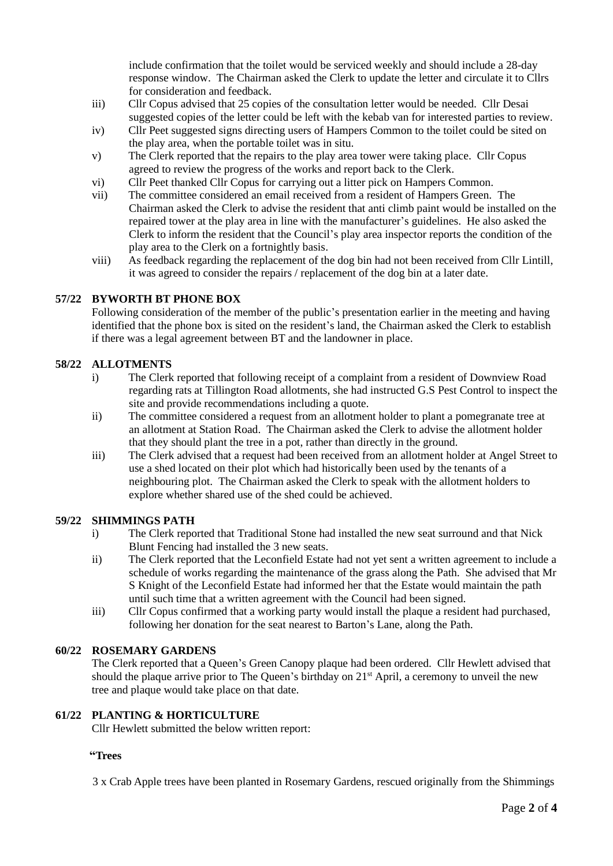include confirmation that the toilet would be serviced weekly and should include a 28-day response window. The Chairman asked the Clerk to update the letter and circulate it to Cllrs for consideration and feedback.

- iii) Cllr Copus advised that 25 copies of the consultation letter would be needed. Cllr Desai suggested copies of the letter could be left with the kebab van for interested parties to review.
- iv) Cllr Peet suggested signs directing users of Hampers Common to the toilet could be sited on the play area, when the portable toilet was in situ.
- v) The Clerk reported that the repairs to the play area tower were taking place. Cllr Copus agreed to review the progress of the works and report back to the Clerk.
- vi) Cllr Peet thanked Cllr Copus for carrying out a litter pick on Hampers Common.
- vii) The committee considered an email received from a resident of Hampers Green. The Chairman asked the Clerk to advise the resident that anti climb paint would be installed on the repaired tower at the play area in line with the manufacturer's guidelines. He also asked the Clerk to inform the resident that the Council's play area inspector reports the condition of the play area to the Clerk on a fortnightly basis.
- viii) As feedback regarding the replacement of the dog bin had not been received from Cllr Lintill, it was agreed to consider the repairs / replacement of the dog bin at a later date.

# **57/22 BYWORTH BT PHONE BOX**

Following consideration of the member of the public's presentation earlier in the meeting and having identified that the phone box is sited on the resident's land, the Chairman asked the Clerk to establish if there was a legal agreement between BT and the landowner in place.

#### **58/22 ALLOTMENTS**

- i) The Clerk reported that following receipt of a complaint from a resident of Downview Road regarding rats at Tillington Road allotments, she had instructed G.S Pest Control to inspect the site and provide recommendations including a quote.
- ii) The committee considered a request from an allotment holder to plant a pomegranate tree at an allotment at Station Road. The Chairman asked the Clerk to advise the allotment holder that they should plant the tree in a pot, rather than directly in the ground.
- iii) The Clerk advised that a request had been received from an allotment holder at Angel Street to use a shed located on their plot which had historically been used by the tenants of a neighbouring plot. The Chairman asked the Clerk to speak with the allotment holders to explore whether shared use of the shed could be achieved.

#### **59/22 SHIMMINGS PATH**

- i) The Clerk reported that Traditional Stone had installed the new seat surround and that Nick Blunt Fencing had installed the 3 new seats.
- ii) The Clerk reported that the Leconfield Estate had not yet sent a written agreement to include a schedule of works regarding the maintenance of the grass along the Path. She advised that Mr S Knight of the Leconfield Estate had informed her that the Estate would maintain the path until such time that a written agreement with the Council had been signed.
- iii) Cllr Copus confirmed that a working party would install the plaque a resident had purchased, following her donation for the seat nearest to Barton's Lane, along the Path.

#### **60/22 ROSEMARY GARDENS**

The Clerk reported that a Queen's Green Canopy plaque had been ordered. Cllr Hewlett advised that should the plaque arrive prior to The Queen's birthday on 21<sup>st</sup> April, a ceremony to unveil the new tree and plaque would take place on that date.

#### **61/22 PLANTING & HORTICULTURE**

Cllr Hewlett submitted the below written report:

#### **"Trees**

3 x Crab Apple trees have been planted in Rosemary Gardens, rescued originally from the Shimmings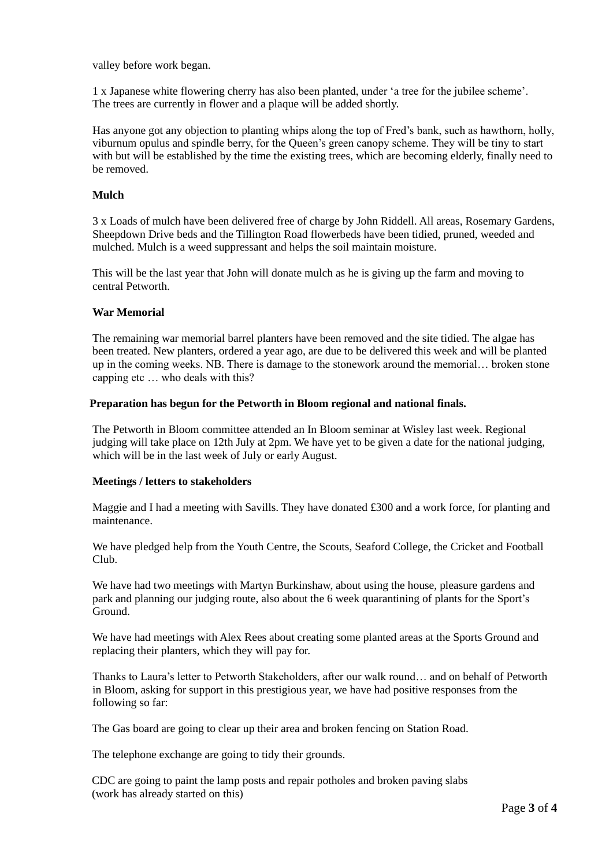valley before work began.

1 x Japanese white flowering cherry has also been planted, under 'a tree for the jubilee scheme'. The trees are currently in flower and a plaque will be added shortly.

Has anyone got any objection to planting whips along the top of Fred's bank, such as hawthorn, holly, viburnum opulus and spindle berry, for the Queen's green canopy scheme. They will be tiny to start with but will be established by the time the existing trees, which are becoming elderly, finally need to be removed.

#### **Mulch**

3 x Loads of mulch have been delivered free of charge by John Riddell. All areas, Rosemary Gardens, Sheepdown Drive beds and the Tillington Road flowerbeds have been tidied, pruned, weeded and mulched. Mulch is a weed suppressant and helps the soil maintain moisture.

This will be the last year that John will donate mulch as he is giving up the farm and moving to central Petworth.

#### **War Memorial**

The remaining war memorial barrel planters have been removed and the site tidied. The algae has been treated. New planters, ordered a year ago, are due to be delivered this week and will be planted up in the coming weeks. NB. There is damage to the stonework around the memorial… broken stone capping etc ... who deals with this?

#### **Preparation has begun for the Petworth in Bloom regional and national finals.**

The Petworth in Bloom committee attended an In Bloom seminar at Wisley last week. Regional judging will take place on 12th July at 2pm. We have yet to be given a date for the national judging, which will be in the last week of July or early August.

#### **Meetings / letters to stakeholders**

Maggie and I had a meeting with Savills. They have donated £300 and a work force, for planting and maintenance.

We have pledged help from the Youth Centre, the Scouts, Seaford College, the Cricket and Football Club.

We have had two meetings with Martyn Burkinshaw, about using the house, pleasure gardens and park and planning our judging route, also about the 6 week quarantining of plants for the Sport's Ground.

We have had meetings with Alex Rees about creating some planted areas at the Sports Ground and replacing their planters, which they will pay for.

Thanks to Laura's letter to Petworth Stakeholders, after our walk round… and on behalf of Petworth in Bloom, asking for support in this prestigious year, we have had positive responses from the following so far:

The Gas board are going to clear up their area and broken fencing on Station Road.

The telephone exchange are going to tidy their grounds.

CDC are going to paint the lamp posts and repair potholes and broken paving slabs (work has already started on this)